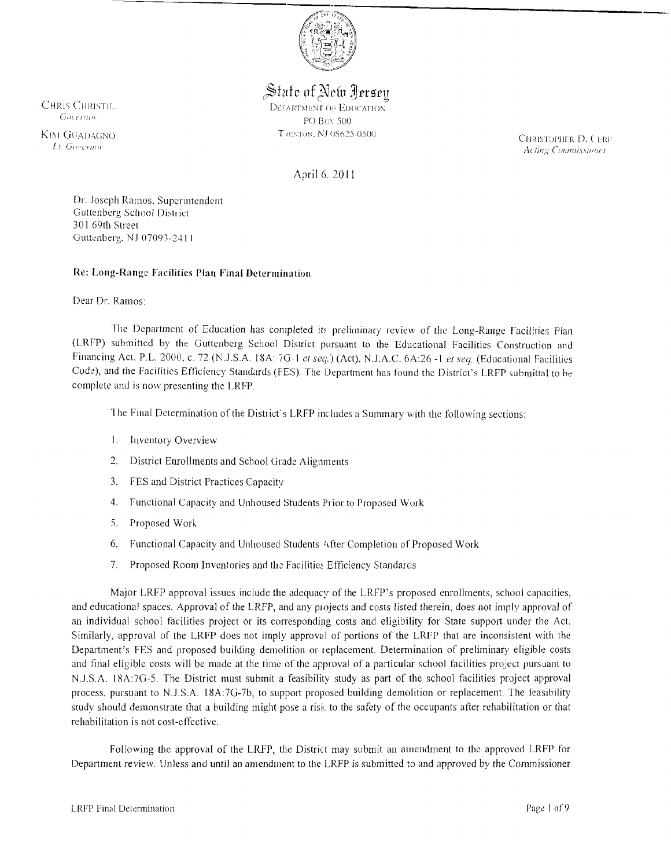

# State of New Jersey

CHRIS CHRISTIL CONFIDERED DEFARTMENT OF EDUCATION PO Box 500

KIM GUADAGNO T (FORDER D. C. ERITORIC PORT CONTROL TO THE STOPHER D. C. ERITORIC PORT CONTROL CONTROL CONTROL CONTROL CONTROL CONTROL CONTROL CONTROL CONTROL CONTROL CONTROL CONTROL CONTROL CONTROL CONTROL CONTROL CONTROL *Acting Commissioner* 

April 6. 20 II

Dr. Joseph Ramos. Superintendent Guttenberg School District 301 69th Street Guttenberg, NJ 07093-2411

# Re: Long-Range Facilities Plan Final Determination

#### Dear Dr. Ramos:

The Department of Education has completed its preliminary review of the Long-Range Facilities Plan (LRFP) submittcd by the Guttcnbcrg School District pursuant to the Educational Facilities Construction and Financing Act. P.L. 2000. c. 72 (N.J.S.A. 18A: 7G-1 et seq.) (Act), N.J.A.C. 6A:26 -1 et seq. (Educational Facilities Code), and the Facilities Efficiency Standards (FES). The Department has found the District's LRFP submittal to be complete and is now presenting the LRFP.

The Final Determination of the District's LRFP includes a Summary with the following sections:

- I. Inventory Overview
- 2. District Enrollments and School Grade Alignments
- 3. FES and District Practices Capacity
- 4. Functional Capacity and Unhoused Students Prior to Proposed Work
- 5. Proposed Work
- 6. Functional Capacity and Unhoused Students t\iter Completion of Proposed Work
- 7. Proposed Room Inventories and the Facilities Efficiency Standards

Major LRFP approval issues include the adequacy of the LRFP's proposed enrollments, school capacities, and educational spaces. Approval of the LRFP, and any projects and costs listed therein, does not imply approval of an individual school facilities project or its corresponding costs and eligibility for State support under the Act. Similarly, approval of the LRFP does not imply approval of portions of the LRFP that are inconsistent with the Department's FES and proposed building demolition or replacement. Determination of preliminary eligible costs and final eligible costs will be made at the time of the approval of a particular school facilities project pursuant to NJ.S.A. 18A:7G-5. The District must submit a feasibility study as part of the school facilities project approval process, pursuant to N.J.S.A. 18A:7G-7b, to support proposed building demolition or replacement. The feasibility study should demonstrate that a building might pose a risk to the safety of the occupants after rehabilitation or that rehabilitation is not cost-effective.

Following the approval of the LRFP, the District may submit an amendment to the approved LRFP for Department review. Unless and until an amendment to the LRFP is submitted to and approved by the Commissioner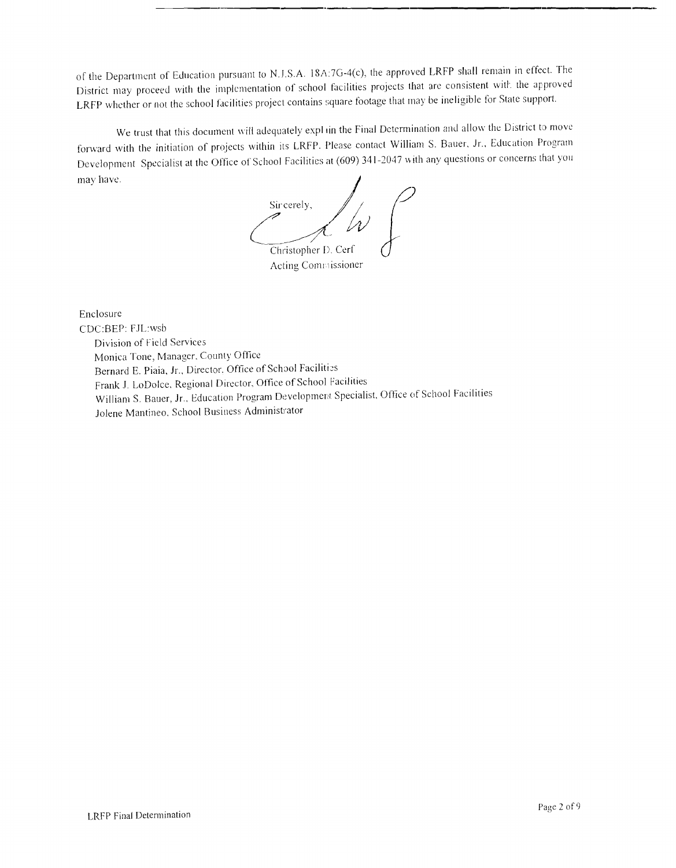of the Department of Education pursuant to N.J.S.A. 18A:7G-4(c), the approved LRFP shall remain in effect. The District may proceed with the implementation of school facilities projects that are consistent with the approved LRFP whether or not the school facilities project contains square footage that may be ineligible for State support.

**.\_--------.\_---------------\_.\_----**

We trust that this document will adequately expl in the Final Determination and allow the District to move forward with the initiation of projects within its LRFP. Please contact William S. Bauer, Jr., Education Program Development Specialist at the Office of School Facilities at (609) 341-2047 with any questions or concerns that you may have.

Sir cerely, Christopher D. Cerf

Acting Commissioner

Enclosure CDC:BEP: FJL:wsb Division of Field Services Monica Tone, Manager. County Office Bernard E. Piaia, Jr., Director, Office of School Facilities Frank J. LoDolce, Regional Director, Office of School Facilities William S. Bauer, Jr., Education Program Development Specialist, Office of School Facilities Jolene Mantineo, School Business Administrator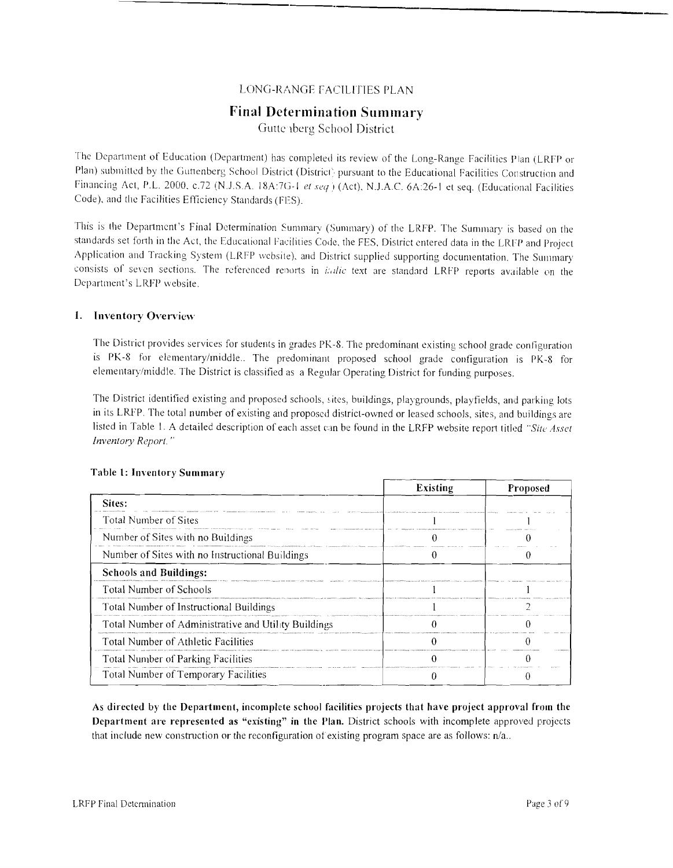# LONG-RANGE fACILITIES PLAN

# **Final** Determination Summary

Guttenberg School District

The Department of Education (Department) has completed its review of the Long-Range Facilities Plan (LRFP or Plan) submitted by the Guttenberg School District (District) pursuant to the Educational Facilities Construction and Financing Act, P.L. 2000, c.72 (N.J.S.A. 18A:7G-1 et seq.) (Act), N.J.A.C. 6A:26-1 et seq. (Educational Facilities Code), and the Facilities Efficiency Standards (FES).

This is the Department's Final Determination Summary (Summary) of the LRFP. The Summary is based on the standards set forth in the Act, the Educational Facilities Code, the FES, District entered data in the LRFP and Project Application and Tracking System (LRFP website), and District supplied supporting documentation. The Summary consists of seven sections. The referenced reports in *italic* text are standard LRFP reports available on the Department's LRFP website.

## 1. Inventory Overview

The District provides services for students in grades PK-8. The predominant existing school grade configuration is PK-8 for elementary/middle.. The predominant proposed school grade configuration is PK-8 for elementary/middle. The District is classified as a Regular Operating District for funding purposes.

The District identified existing and proposed schools, sites, buildings, playgrounds, playfields, and parking lots in its LRFP. The total number of existing and proposed district-owned or leased schools, sites, and buildings are listed in Table I. A detailed description of each asset can be found in the LRFP website report titled *"Site Asset Inventory Report.* ..

|                                                      | <b>Existing</b> | Proposed |
|------------------------------------------------------|-----------------|----------|
| Sites:                                               |                 |          |
| Total Number of Sites                                |                 |          |
| Number of Sites with no Buildings                    |                 |          |
| Number of Sites with no Instructional Buildings      |                 |          |
| <b>Schools and Buildings:</b>                        |                 |          |
| <b>Total Number of Schools</b>                       |                 |          |
| Total Number of Instructional Buildings              |                 |          |
| Total Number of Administrative and Utility Buildings |                 |          |
| Total Number of Athletic Facilities                  |                 |          |
| <b>Total Number of Parking Facilities</b>            |                 |          |
| Total Number of Temporary Facilities                 |                 |          |

#### Table 1: Inventory Summary

As directed by the Department, incomplete school facilities projects that have project approval from the Department are represented as "existing" in the Plan. District schools with incomplete approved projects that include new construction or the reconfiguration of existing program space are as follows:  $n/a$ ..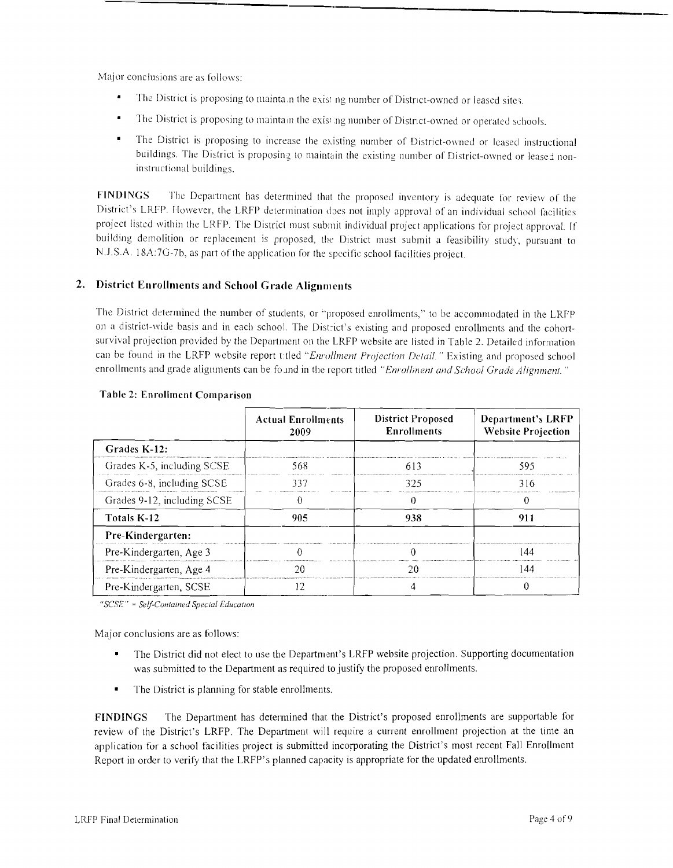Major conclusions are as follows:

- The District is proposing to mainta n the exist ng number of District-owned or leased sites.
- The District is proposing to maintain the existing number of District-owned or operated schools.
- $\blacksquare$ The District is proposing to increase the existing number of District-owned or leased instructional buildings. The District is proposing to maintain the existing number of District-owned or leased noninstructional buildings.

FINDINGS The Department has determined that the proposed inventory is adequate for review of the District's LRFP. However, the LRFP determination does not imply approval of an individual school facilities project listed within the LRFP. The District must submit individual project applications for project approval. If building demolition or replacement is proposed, the District must submit a feasibility study, pursuant to N.J.S.A. 18A:7G-7b, as part of the application for the specific school facilities project.

# 2. District Enrollments and School Grade Alignments

The District determined the number of students, or "proposed enrollments, " to be accommodated in the LRFP on a district-wide basis and in each school. The District's existing and proposed enrollments and the cohortsurvival projection provided by the Department on the LRFP website are listed in Table 2. Detailed information can be found in the LRFP website report titled "Enrollment Projection Detail." Existing and proposed school enrollments and grade alignments can be found in the report titled "Enrollment and School Grade Alignment."

|                             | <b>Actual Enrollments</b><br>2009 | <b>District Proposed</b><br><b>Enrollments</b> | <b>Department's LRFP</b><br><b>Website Projection</b> |  |
|-----------------------------|-----------------------------------|------------------------------------------------|-------------------------------------------------------|--|
| Grades K-12:                |                                   |                                                |                                                       |  |
| Grades K-5, including SCSE  | 568                               | 613                                            | 595                                                   |  |
| Grades 6-8, including SCSE  | 337                               | 325                                            | 316                                                   |  |
| Grades 9-12, including SCSE |                                   |                                                |                                                       |  |
| Totals K-12                 | 905                               | 938                                            | 911                                                   |  |
| Pre-Kindergarten:           |                                   |                                                |                                                       |  |
| Pre-Kindergarten, Age 3     |                                   |                                                | 144                                                   |  |
| Pre-Kindergarten, Age 4     | 20                                | 20                                             | 144                                                   |  |
| Pre-Kindergarten, SCSE      |                                   |                                                |                                                       |  |

## Table 2: Enrollment Comparison

"*SCSE*" = Self-Contained Special Education

Major conclusions are as follows:

- The District did not elect to use the Department's LRfP website projection. Supporting documentation was submitted to the Department as required to justify the proposed enrollments.
- The District is planning for stable enrollments.

FINDINGS The Department has determined that the District's proposed enrollments are supportable for review of the District's LRFP. The Department will require a current enrollment projection at the time an application for a school facilities project is submitted incorporating the District's most recent Fall Enrollment Report in order to verity that the LRfP's planned capacity is appropriate for the updated enrollments.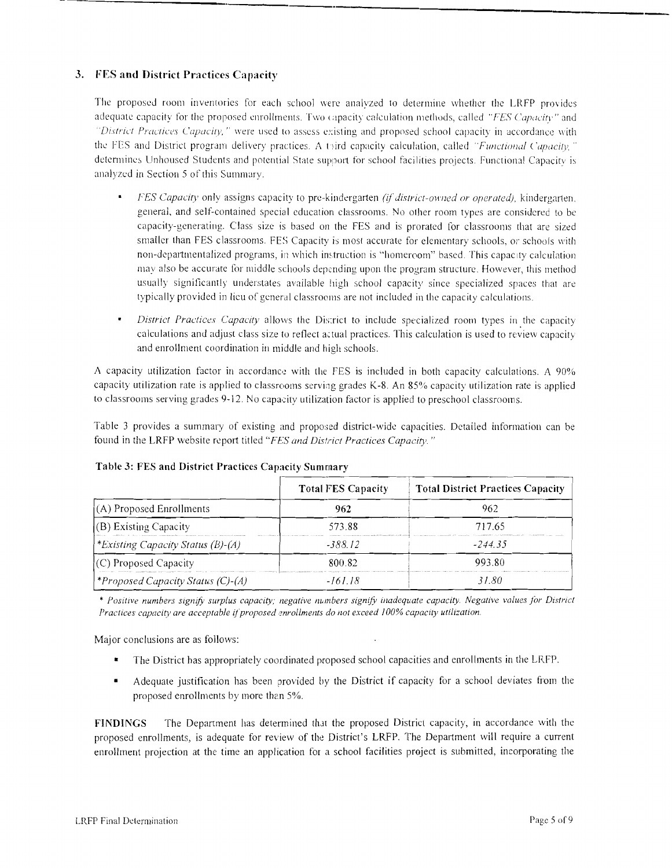# 3. FES and District Practices Capacity

The proposed room inventories for each school were analyzed to determine whether the LRFP providcs adequate capacity for the proposed enrollments. Two capacity calculation methods, called "FES Capacity" and *'District Practices Capacity,''* were used to assess existing and proposed school capacity in accordance with the FES and District program delivery practices. A third capacity calculation, called *"Functional Capacity,"* determines Unhoused Students and potential State support for school facilities projects. Functional Capacity is analyzcd in Section 5 of this Summary.

- *FES Capacity* only assigns capacity to pre-kindergarten *(if district-owned or operated)*, kindergarten. general, and self-contained specia I education classrooms. No other room types are considered to be capacity-generating. Class size is based on the FES and is prorated for classrooms that are sized smaller than FES classrooms. FES Capacity is most accurate for elementary schools, or schools with non-departmentalized programs, in which instruction is "homeroom" based. This capacity calculation may also be accurate for middle schools depending upon the program structure. However, this method usually significantly understates available high school capacity since specialized spaces that are typically provided in lieu of general classrooms are not included in the capacity calculations.
- *District Practices Capacity* allows the District to include specialized room types in the capacity calculations and adjust class size to reflect actual practices. This calculation is used to review capacity and enrollment coordination in middle and high schools.

A capacity utilization factor in accordance with the FES is included in both capacity calculations. A 90% capacity utilization rate is applied to classrooms serving grades K-8. An 85% capacity utilization rate is applied to classrooms serving grades 9-12. No capacity utilization factor is applied to preschool classrooms.

Table 3 provides a summary of existing and proposed district-wide capacities. Detailed information can be found in the LRFP website report titled *"FES and District Practices Capacity. "* 

|                                         | <b>Total FES Capacity</b> | <b>Total District Practices Capacity</b> |  |
|-----------------------------------------|---------------------------|------------------------------------------|--|
| $(A)$ Proposed Enrollments              | 962                       | 962                                      |  |
| $(B)$ Existing Capacity                 | 573.88                    | 717.65                                   |  |
| <i>Existing Capacity Status (B)-(A)</i> | -388.12                   | $-244.35$                                |  |
| (C) Proposed Capacity                   | 800.82                    | 993.80                                   |  |
| *Proposed Capacity Status (C)-(A)       | -161.18                   | 31.80                                    |  |

#### Table 3: FES and District Practices Capacity Summary

*• Positive numbers signifj.' surplus capacity; negative numbers signify inadequate capacity. Negative values for Distriel*  Practices capacity are acceptable if proposed enrollments do not exceed 100% capacity utilization.

Major conclusions are as follows:

- The District has appropriately coordinated proposed school capacities and enrollments in the LRFP.
- • Adequate justification has been provided by the District if capacity for a school deviates from the proposed enrollments by more than 5%.

FINDINGS The Department has determined that the proposed District capacity, in accordance with the proposed enrollments, is adequate for review of the District's LRFP. The Department will require a current enrollment projection at the time an application for a school facilities project is submitted, incorporating the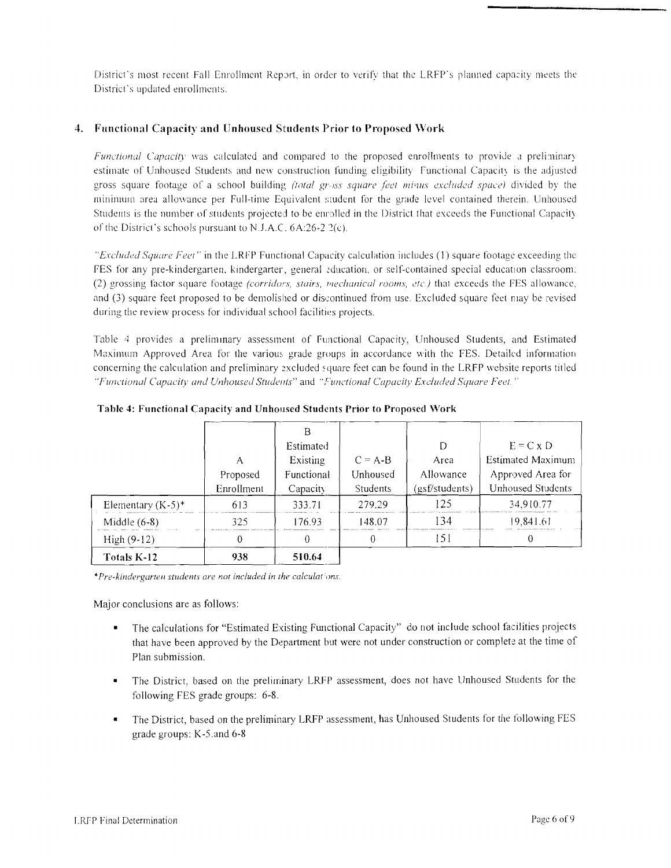District's most recent Fall Enrollment Report, in order to verify that the LRFP's planned capacity meets the Districl's updated enrollments.

#### **4. Functional Capacity and Unhoused Situdents Prior to Proposed Work**

*Functional Capacity* was calculated and compared to the proposed enrollments to provide a preliminary estimate of Unhoused Students and new construction funding eligibility Functional Capacity is the adjusted gross square footage of a school building *(total gross square feet minus excluded space)* divided by the minimum area allowance per Full-time Equivalent student for the grade level contained therein. Unhoused Students is the number of students projected to be enrolled in the District that exceeds the Functional Capacity of the District's schools pursuant to N.J.A.C.  $6A:26-2$   $2(c)$ .

*"Excluded Square Feel"* in the LRFP functional Capacity calculation includes (I) square footage exceeding the fES for any pre-kinderganen. kindergarter, general education, or self-contained special education classroom: (2) grossing factor square footage *(corridors, stairs, mechanical rooms, etc.)* that exceeds the FES allowance, and (3) square feet proposed to be demolished or discontinued from use. Excluded square feet may be revised during the review process for individual school facilities projects.

Table 4 provides a preliminary assessment of Functional Capacity, Unhoused Students, and Estimated Maximum Approved Area for the various grade groups in accordance with the FES. Detailed information concerning the calculation and preliminary excluded square feet can be found in the LRFP website reports titled *"FlIIh'tion<.11 Capacity and Unhoused Studcl7ts"* and *"Functional Capacity Excluded Square Feel* ,.

|                      | A<br>Proposed<br>Enrollment | B<br>Estimated<br>Existing<br>Functional<br>Capacity | $C = A-B$<br>Unhoused<br>Students | D<br>Area<br>Allowance<br>(gsf/students) | $E = C \times D$<br><b>Estimated Maximum</b><br>Approved Area for<br><b>Unhoused Students</b> |
|----------------------|-----------------------------|------------------------------------------------------|-----------------------------------|------------------------------------------|-----------------------------------------------------------------------------------------------|
| Elementary $(K-5)^*$ | 613                         | 333.71                                               | 279.29                            | 125                                      | 34,910.77                                                                                     |
| Middle $(6-8)$       | 325                         | 176.93                                               | 148.07                            | 134                                      | 19,841.61                                                                                     |
| High (9-12)          | 0                           | 0                                                    |                                   | 151                                      |                                                                                               |
| Totals K-12          | 938                         | 510.64                                               |                                   |                                          |                                                                                               |

**Tablc 4: Functional Capacity and Unhouscd Studcnts Prior to Proposed Work** 

*\*Pre-kindergarten students are not included in the calculations.* 

Major conclusions are as follows:

- The calculations for "Estimated Existing Functional Capacity" do not include school facilities projects that have been approved by the Department but were not under construction or complek at the time of Plan submission.
- The District, based on the preliminary LRFP assessment, does not have Unhoused Students for the following FES grade groups: 6-8.
- The District, based on the preliminary LRFP assessment, has Unhoused Students for the following FES grade groups: K-5.and 6-8

**---,-----**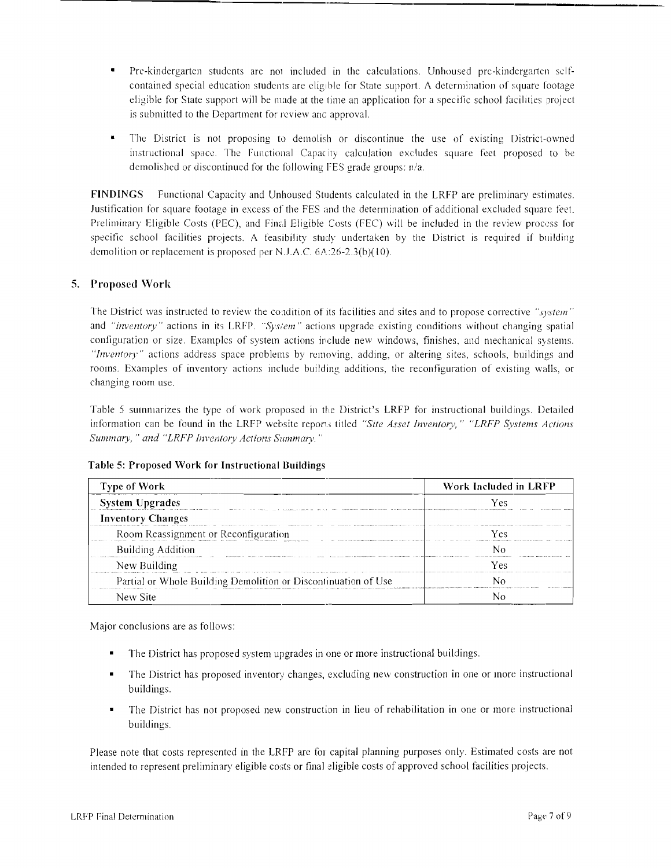Pre-kindergarten students are not included in the calculations. Unhoused pre-kindergarten selfcontained special education students are eligible for State support. A determination of square footage eligible for State support will be made at the time an application for a specific school facilities project is submitted to the Department for review anc approval.

'----\_.\_--------,----

The District is not proposing to demolish or discontinue the use of existing District-owned instructional space. The Functional Capacity calculation excludes square feet proposed to be demolished or discontinued for the following FES grade groups: n/a.

FINDINGS Functional Capacity and Unhoused Students calculated in the LRFP are preliminary estimates. Justification for square footage in excess of the FES and the determination of additional excluded square feel. Preliminary Eligible Costs (PEC), and Final Eligible Costs (FEC) will be included in the review process for specific school facilities projects. A feasibility study undertaken by the District is required if building demolition or replacement is proposed per N.J.A.C. 6A:26-2.3(b)(IO).

## 5. Proposed Work

The District was instructed to review the condition of its facilities and sites and to propose corrective "system" and *"invcntory"* actions in its LRfP. *"Sys/em"* actions upgrade existing conditions without changing spatial configuration or size. Examples of system actions include new windows, finishes, and mechanical systems. *"Invcntory"* actions address space problems by removing, adding, or altering sites, schools, buildings and rooms. Examples of inventory actions include building additions, the reconfiguration of existing walls, or changing room use.

Table 5 summarizes the type of work proposed in the District's LRFP for instructional buildings. Detailed information can be found in the LRFP website reports titled "Site Asset Inventory," "LRFP Systems Actions *Summary,* " *and "LRFP Inventory Actions Summary. "* 

Table 5: Proposed Work for Instructional Buildings

| <b>Type of Work</b>                                            | Work Included in LRFP |  |  |
|----------------------------------------------------------------|-----------------------|--|--|
| <b>System Upgrades</b>                                         | Ves                   |  |  |
| <b>Inventory Changes</b>                                       |                       |  |  |
| Room Reassignment or Reconfiguration                           | Yes                   |  |  |
| <b>Building Addition</b>                                       |                       |  |  |
| New Building                                                   | Vρς                   |  |  |
| Partial or Whole Building Demolition or Discontinuation of Use |                       |  |  |
| New Site                                                       |                       |  |  |

Major conclusions are as follows:

- The District has proposed system upgrades in one or more instructional buildings.
- The District has proposed inventory changes, excluding new construction in one or more instructional buildings.
- The District has not proposed new construction in lieu of rehabilitation in one or more instructional buildings.

Please note that costs represented in the LRFP are for capital planning purposes only. Estimated costs are not intended to represent preliminary eligible costs or final eligible costs of approved school facilities projects.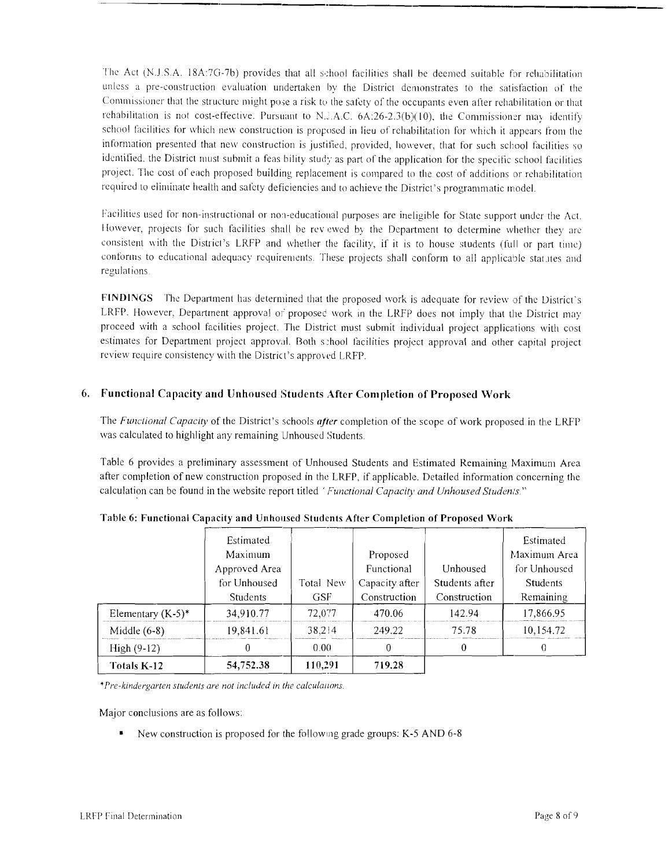The Act (N.J.S.A. 18A:7G-7b) provides that all school facilities shall be deemed suitable for rehabilitation unless a pre-construction evaluation undertaken by the District demonstrates to the satisfaction of the Commissioner that the structure might pose a risk to the safety of the occupants even after rehabilitation or that rehabilitation is not cost-effective. Pursuant to N.3.A.C.  $6A:26-2.3(b)(10)$ , the Commissioner may identify school facilities for which new construction is proposed in lieu of rehabilitation for which it appears from the information presented that new construction is justified, provided, however, that for such school facilities so identified, the District must submit a feas bility study as part of the application for the specific school facilities project. The cost of each proposed building replacement is compared to the cost of additions or rehabilitation required to eliminate health and safety deficiencies and to achieve the District's programmatic model.

Facilities used for non-instructional or non-educational purposes are ineligible for State support under the Act. However, projects for such facilities shall be rev ewed by the Department to determine whether they are consistent with the District's LRFP and whether the facility, if it is to house students (full or part time) conforms to educational adequacy requirements. These projects shall conform to all applicable statutes and regulations

FINDINGS The Department has determined that the proposed work is adequate for review of the District's LRFP. However, Department approval of proposed work in the LRFP does not imply that the District may proceed with a school facilities project. The District must submit individual project applications with cost estimates for Department project approval. Both s:hool facilities project approval and other capital project review require consistency with the District's approved LRFP.

## 6. Functional Capacity and Unhoused Students After Completion of Proposed Work

The *Functional Capacity* of the District's schools *after* completion of the scope of work proposed in the LRFP was calculated to highlight any remaining Unhoused Students.

Table 6 provides a preliminary assessment of Unhoused Students and Estimated Remaining Maximum Area after completion of new construction proposed in the LRFP, if applicable. Detailed information conceming the calculation can be found in the website report titled' *Functional Capacity and Unhoused Studen/s"* 

|                      | Estimated<br>Maximum<br>Approved Area<br>for Unhoused | Total New | Proposed<br><b>Functional</b><br>Capacity after | Unhoused<br>Students after | Estimated<br>Maximum Area<br>for Unhoused<br>Students |
|----------------------|-------------------------------------------------------|-----------|-------------------------------------------------|----------------------------|-------------------------------------------------------|
|                      | <b>Students</b>                                       | GSF       | Construction                                    | Construction               | Remaining                                             |
| Elementary $(K-5)^*$ | 34,910.77                                             | 72,077    | 470.06                                          | 142.94                     | 17,866.95                                             |
| Middle $(6-8)$       | 19.841.61                                             | 38,214    | 249.22                                          | 75.78                      | 10,154.72                                             |
| $High(9-12)$         |                                                       | 0.00      | 0                                               | 0                          | 0                                                     |
| Totals K-12          | 54,752.38                                             | 110,291   | 719.28                                          |                            |                                                       |

Table 6: Functional Capacity and Unhoused Students After Completion of Proposed Work

*•Pre-kindergarten students are not included in the calculallons.* 

Major conclusions are as follows:

New construction is proposed for the following grade groups: K-5 AND 6-8